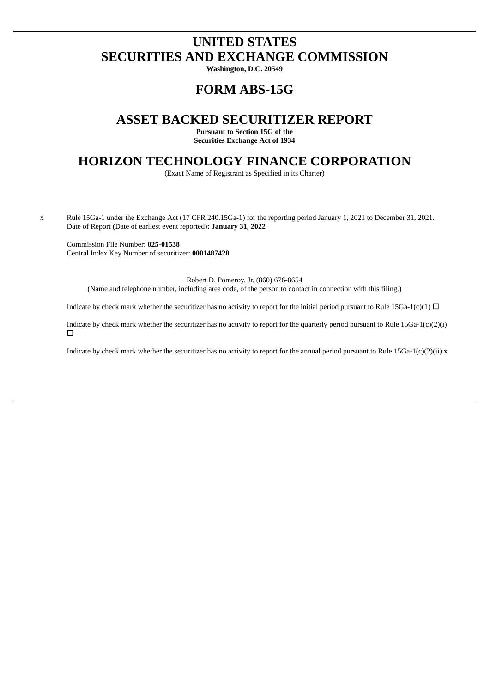# **UNITED STATES SECURITIES AND EXCHANGE COMMISSION**

**Washington, D.C. 20549**

## **FORM ABS-15G**

## **ASSET BACKED SECURITIZER REPORT**

**Pursuant to Section 15G of the Securities Exchange Act of 1934**

### **HORIZON TECHNOLOGY FINANCE CORPORATION**

(Exact Name of Registrant as Specified in its Charter)

x Rule 15Ga-1 under the Exchange Act (17 CFR 240.15Ga-1) for the reporting period January 1, 2021 to December 31, 2021. Date of Report **(**Date of earliest event reported)**: January 31, 2022**

Commission File Number: **025-01538** Central Index Key Number of securitizer: **0001487428**

Robert D. Pomeroy, Jr. (860) 676-8654 (Name and telephone number, including area code, of the person to contact in connection with this filing.)

Indicate by check mark whether the securitizer has no activity to report for the initial period pursuant to Rule 15Ga-1(c)(1)  $\Box$ 

Indicate by check mark whether the securitizer has no activity to report for the quarterly period pursuant to Rule 15Ga-1(c)(2)(i)  $\Box$ 

Indicate by check mark whether the securitizer has no activity to report for the annual period pursuant to Rule 15Ga-1(c)(2)(ii) **x**